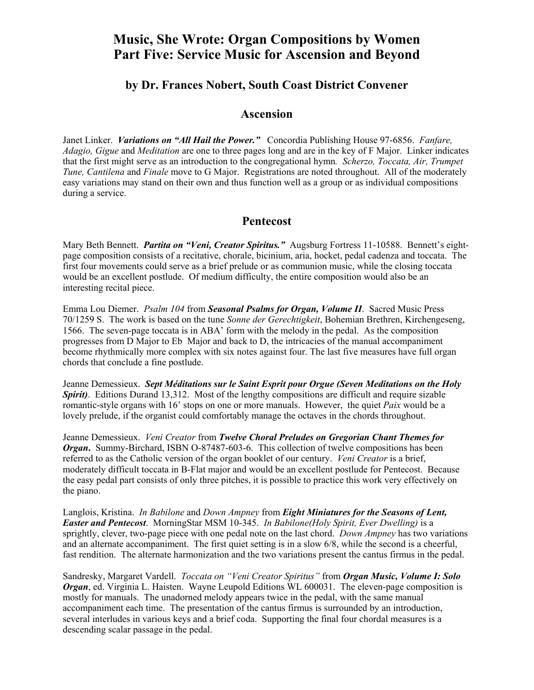# **Music, She Wrote: Organ Compositions by Women Part Five: Service Music for Ascension and Beyond**

### **by Dr. Frances Nobert, South Coast District Convener**

#### **Ascension**

Janet Linker. *Variations on "All Hail the Power."* Concordia Publishing House 97-6856. *Fanfare, Adagio, Gigue* and *Meditation* are one to three pages long and are in the key of F Major. Linker indicates that the first might serve as an introduction to the congregational hymn*. Scherzo, Toccata, Air, Trumpet Tune, Cantilena* and *Finale* move to G Major. Registrations are noted throughout. All of the moderately easy variations may stand on their own and thus function well as a group or as individual compositions during a service.

#### **Pentecost**

Mary Beth Bennett. *Partita on "Veni, Creator Spiritus."* Augsburg Fortress 11-10588. Bennett's eightpage composition consists of a recitative, chorale, bicinium, aria, hocket, pedal cadenza and toccata. The first four movements could serve as a brief prelude or as communion music, while the closing toccata would be an excellent postlude. Of medium difficulty, the entire composition would also be an interesting recital piece.

Emma Lou Diemer. *Psalm 104* from *Seasonal Psalms for Organ, Volume II*. Sacred Music Press 70/1259 S. The work is based on the tune *Sonne der Gerechtigkeit*, Bohemian Brethren, Kirchengeseng, 1566. The seven-page toccata is in ABA' form with the melody in the pedal. As the composition progresses from D Major to Eb Major and back to D, the intricacies of the manual accompaniment become rhythmically more complex with six notes against four. The last five measures have full organ chords that conclude a fine postlude.

Jeanne Demessieux. *Sept Méditations sur le Saint Esprit pour Orgue (Seven Meditations on the Holy Spirit)*. Editions Durand 13,312. Most of the lengthy compositions are difficult and require sizable romantic-style organs with 16' stops on one or more manuals. However, the quiet *Paix* would be a lovely prelude, if the organist could comfortably manage the octaves in the chords throughout.

Jeanne Demessieux.*Veni Creator* from *Twelve Choral Preludes on Gregorian Chant Themes for Organ*. Summy-Birchard, ISBN O-87487-603-6. This collection of twelve compositions has been referred to as the Catholic version of the organ booklet of our century. *Veni Creator* is a brief, moderately difficult toccata in B-Flat major and would be an excellent postlude for Pentecost. Because the easy pedal part consists of only three pitches, it is possible to practice this work very effectively on the piano.

Langlois, Kristina. *In Babilone* and *Down Ampney* from *Eight Miniatures for the Seasons of Lent, Easter and Pentecost*. MorningStar MSM 10-345. *In Babilone(Holy Spirit, Ever Dwelling)* is a sprightly, clever, two-page piece with one pedal note on the last chord. *Down Ampney* has two variations and an alternate accompaniment. The first quiet setting is in a slow 6/8, while the second is a cheerful, fast rendition. The alternate harmonization and the two variations present the cantus firmus in the pedal.

Sandresky, Margaret Vardell. *Toccata on "Veni Creator Spiritus"* from *Organ Music, Volume I: Solo Organ*, ed. Virginia L. Haisten. Wayne Leupold Editions WL 600031. The eleven-page composition is mostly for manuals. The unadorned melody appears twice in the pedal, with the same manual accompaniment each time. The presentation of the cantus firmus is surrounded by an introduction, several interludes in various keys and a brief coda. Supporting the final four chordal measures is a descending scalar passage in the pedal.